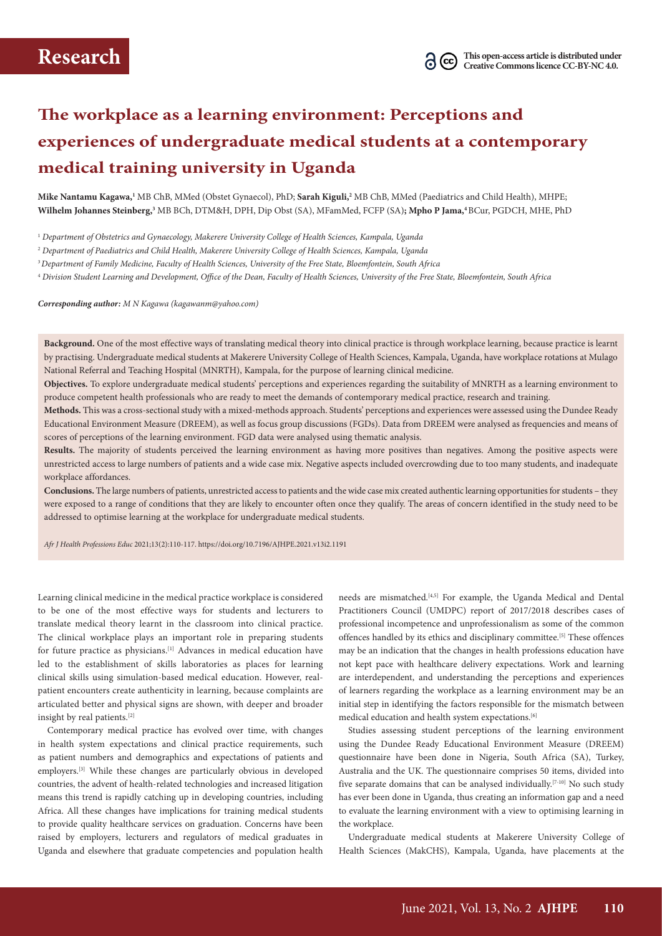# **The workplace as a learning environment: Perceptions and experiences of undergraduate medical students at a contemporary medical training university in Uganda**

**Mike Nantamu Kagawa,1** MB ChB, MMed (Obstet Gynaecol), PhD; **Sarah Kiguli,2** MB ChB, MMed (Paediatrics and Child Health), MHPE; **Wilhelm Johannes Steinberg,3** MB BCh, DTM&H, DPH, Dip Obst (SA), MFamMed, FCFP (SA)**; Mpho P Jama,4** BCur, PGDCH, MHE, PhD

<sup>1</sup> *Department of Obstetrics and Gynaecology, Makerere University College of Health Sciences, Kampala, Uganda*

<sup>2</sup> *Department of Paediatrics and Child Health, Makerere University College of Health Sciences, Kampala, Uganda* 

<sup>3</sup>*Department of Family Medicine, Faculty of Health Sciences, University of the Free State, Bloemfontein, South Africa* 

<sup>4</sup> *Division Student Learning and Development, Office of the Dean, Faculty of Health Sciences, University of the Free State, Bloemfontein, South Africa* 

*Corresponding author: M N Kagawa (kagawanm@yahoo.com)*

**Background.** One of the most effective ways of translating medical theory into clinical practice is through workplace learning, because practice is learnt by practising. Undergraduate medical students at Makerere University College of Health Sciences, Kampala, Uganda, have workplace rotations at Mulago National Referral and Teaching Hospital (MNRTH), Kampala, for the purpose of learning clinical medicine.

**Objectives.** To explore undergraduate medical students' perceptions and experiences regarding the suitability of MNRTH as a learning environment to produce competent health professionals who are ready to meet the demands of contemporary medical practice, research and training.

**Methods.** This was a cross-sectional study with a mixed-methods approach. Students' perceptions and experiences were assessed using the Dundee Ready Educational Environment Measure (DREEM), as well as focus group discussions (FGDs). Data from DREEM were analysed as frequencies and means of scores of perceptions of the learning environment. FGD data were analysed using thematic analysis.

**Results.** The majority of students perceived the learning environment as having more positives than negatives. Among the positive aspects were unrestricted access to large numbers of patients and a wide case mix. Negative aspects included overcrowding due to too many students, and inadequate workplace affordances.

**Conclusions.** The large numbers of patients, unrestricted access to patients and the wide case mix created authentic learning opportunities for students – they were exposed to a range of conditions that they are likely to encounter often once they qualify. The areas of concern identified in the study need to be addressed to optimise learning at the workplace for undergraduate medical students.

*Afr J Health Professions Educ* 2021;13(2):110-117.<https://doi.org/10.7196/AJHPE.2021.v13i2.1191>

Learning clinical medicine in the medical practice workplace is considered to be one of the most effective ways for students and lecturers to translate medical theory learnt in the classroom into clinical practice. The clinical workplace plays an important role in preparing students for future practice as physicians.[1] Advances in medical education have led to the establishment of skills laboratories as places for learning clinical skills using simulation-based medical education. However, realpatient encounters create authenticity in learning, because complaints are articulated better and physical signs are shown, with deeper and broader insight by real patients.[2]

Contemporary medical practice has evolved over time, with changes in health system expectations and clinical practice requirements, such as patient numbers and demographics and expectations of patients and employers.[3] While these changes are particularly obvious in developed countries, the advent of health-related technologies and increased litigation means this trend is rapidly catching up in developing countries, including Africa. All these changes have implications for training medical students to provide quality healthcare services on graduation. Concerns have been raised by employers, lecturers and regulators of medical graduates in Uganda and elsewhere that graduate competencies and population health

needs are mismatched.<sup>[4,5]</sup> For example, the Uganda Medical and Dental Practitioners Council (UMDPC) report of 2017/2018 describes cases of professional incompetence and unprofessionalism as some of the common offences handled by its ethics and disciplinary committee.[5] These offences may be an indication that the changes in health professions education have not kept pace with healthcare delivery expectations. Work and learning are interdependent, and understanding the perceptions and experiences of learners regarding the workplace as a learning environment may be an initial step in identifying the factors responsible for the mismatch between medical education and health system expectations.[6]

Studies assessing student perceptions of the learning environment using the Dundee Ready Educational Environment Measure (DREEM) questionnaire have been done in Nigeria, South Africa (SA), Turkey, Australia and the UK. The questionnaire comprises 50 items, divided into five separate domains that can be analysed individually.<sup>[7-10]</sup> No such study has ever been done in Uganda, thus creating an information gap and a need to evaluate the learning environment with a view to optimising learning in the workplace.

Undergraduate medical students at Makerere University College of Health Sciences (MakCHS), Kampala, Uganda, have placements at the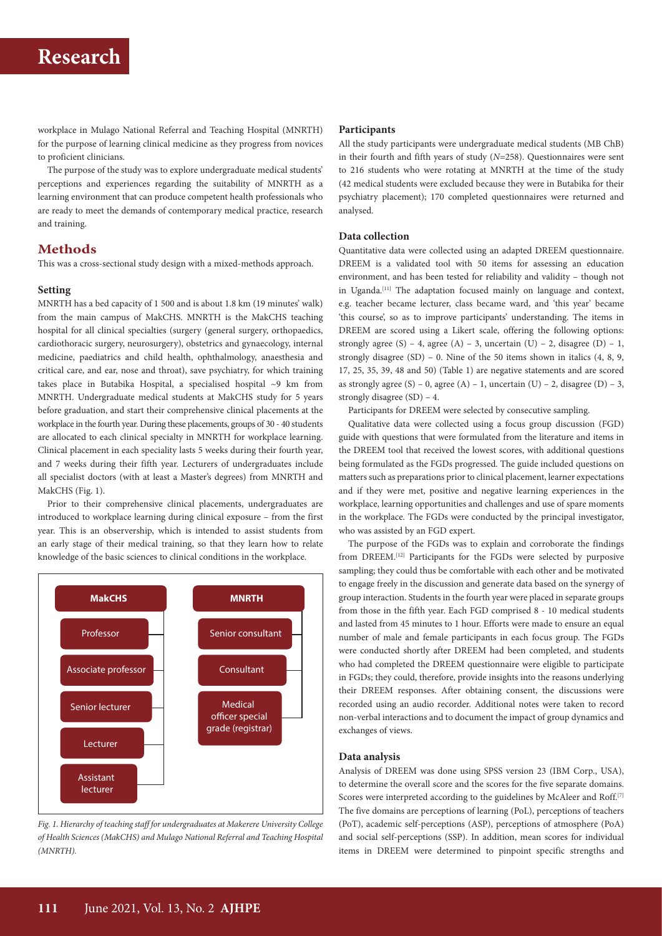# **Research**

workplace in Mulago National Referral and Teaching Hospital (MNRTH) for the purpose of learning clinical medicine as they progress from novices to proficient clinicians.

The purpose of the study was to explore undergraduate medical students' perceptions and experiences regarding the suitability of MNRTH as a learning environment that can produce competent health professionals who are ready to meet the demands of contemporary medical practice, research and training.

## **Methods**

This was a cross-sectional study design with a mixed-methods approach.

# **Setting**

MNRTH has a bed capacity of 1 500 and is about 1.8 km (19 minutes' walk) from the main campus of MakCHS. MNRTH is the MakCHS teaching hospital for all clinical specialties (surgery (general surgery, orthopaedics, cardiothoracic surgery, neurosurgery), obstetrics and gynaecology, internal medicine, paediatrics and child health, ophthalmology, anaesthesia and critical care, and ear, nose and throat), save psychiatry, for which training takes place in Butabika Hospital, a specialised hospital ~9 km from MNRTH. Undergraduate medical students at MakCHS study for 5 years before graduation, and start their comprehensive clinical placements at the workplace in the fourth year. During these placements, groups of 30 - 40 students are allocated to each clinical specialty in MNRTH for workplace learning. Clinical placement in each speciality lasts 5 weeks during their fourth year, and 7 weeks during their fifth year. Lecturers of undergraduates include all specialist doctors (with at least a Master's degrees) from MNRTH and MakCHS (Fig. 1).

Prior to their comprehensive clinical placements, undergraduates are introduced to workplace learning during clinical exposure – from the first year. This is an observership, which is intended to assist students from an early stage of their medical training, so that they learn how to relate knowledge of the basic sciences to clinical conditions in the workplace.



*Fig. 1. Hierarchy of teaching staff for undergraduates at Makerere University College of Health Sciences (MakCHS) and Mulago National Referral and Teaching Hospital (MNRTH).*

#### **Participants**

All the study participants were undergraduate medical students (MB ChB) in their fourth and fifth years of study (*N*=258). Questionnaires were sent to 216 students who were rotating at MNRTH at the time of the study (42 medical students were excluded because they were in Butabika for their psychiatry placement); 170 completed questionnaires were returned and analysed.

### **Data collection**

Quantitative data were collected using an adapted DREEM questionnaire. DREEM is a validated tool with 50 items for assessing an education environment, and has been tested for reliability and validity – though not in Uganda.<sup>[11]</sup> The adaptation focused mainly on language and context, e.g. teacher became lecturer, class became ward, and 'this year' became 'this course', so as to improve participants' understanding. The items in DREEM are scored using a Likert scale, offering the following options: strongly agree (S) – 4, agree (A) – 3, uncertain (U) – 2, disagree (D) – 1, strongly disagree  $(SD)$  – 0. Nine of the 50 items shown in italics  $(4, 8, 9, 1)$ 17, 25, 35, 39, 48 and 50) (Table 1) are negative statements and are scored as strongly agree (S) – 0, agree (A) – 1, uncertain (U) – 2, disagree (D) – 3, strongly disagree (SD) – 4.

Participants for DREEM were selected by consecutive sampling.

Qualitative data were collected using a focus group discussion (FGD) guide with questions that were formulated from the literature and items in the DREEM tool that received the lowest scores, with additional questions being formulated as the FGDs progressed. The guide included questions on matters such as preparations prior to clinical placement, learner expectations and if they were met, positive and negative learning experiences in the workplace, learning opportunities and challenges and use of spare moments in the workplace. The FGDs were conducted by the principal investigator, who was assisted by an FGD expert.

The purpose of the FGDs was to explain and corroborate the findings from DREEM.[12] Participants for the FGDs were selected by purposive sampling; they could thus be comfortable with each other and be motivated to engage freely in the discussion and generate data based on the synergy of group interaction. Students in the fourth year were placed in separate groups from those in the fifth year. Each FGD comprised 8 - 10 medical students and lasted from 45 minutes to 1 hour. Efforts were made to ensure an equal number of male and female participants in each focus group. The FGDs were conducted shortly after DREEM had been completed, and students who had completed the DREEM questionnaire were eligible to participate in FGDs; they could, therefore, provide insights into the reasons underlying their DREEM responses. After obtaining consent, the discussions were recorded using an audio recorder. Additional notes were taken to record non-verbal interactions and to document the impact of group dynamics and exchanges of views.

#### **Data analysis**

Analysis of DREEM was done using SPSS version 23 (IBM Corp., USA), to determine the overall score and the scores for the five separate domains. Scores were interpreted according to the guidelines by McAleer and Roff.<sup>[7]</sup> The five domains are perceptions of learning (PoL), perceptions of teachers (PoT), academic self-perceptions (ASP), perceptions of atmosphere (PoA) and social self-perceptions (SSP). In addition, mean scores for individual items in DREEM were determined to pinpoint specific strengths and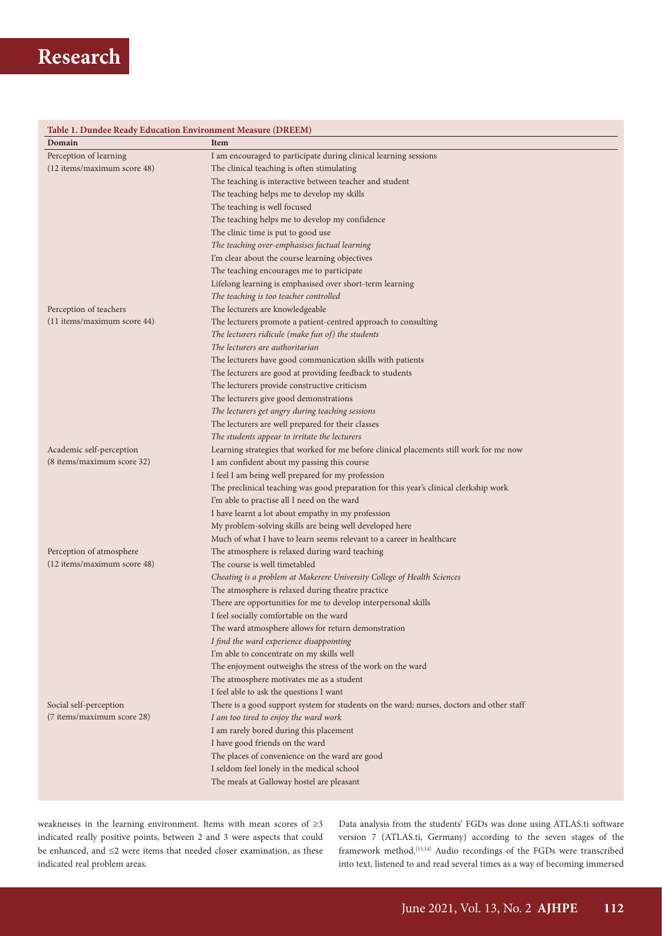# **Table 1. Dundee Ready Education Environment Measure (DREEM)**

| Table 1. Dundee Ready Education Environment measure (DREEM)<br>Domain | Item                                                                                     |
|-----------------------------------------------------------------------|------------------------------------------------------------------------------------------|
| Perception of learning                                                | I am encouraged to participate during clinical learning sessions                         |
| (12 items/maximum score 48)                                           | The clinical teaching is often stimulating                                               |
|                                                                       | The teaching is interactive between teacher and student                                  |
|                                                                       | The teaching helps me to develop my skills                                               |
|                                                                       | The teaching is well focused                                                             |
|                                                                       | The teaching helps me to develop my confidence                                           |
|                                                                       | The clinic time is put to good use                                                       |
|                                                                       | The teaching over-emphasises factual learning                                            |
|                                                                       | I'm clear about the course learning objectives                                           |
|                                                                       | The teaching encourages me to participate                                                |
|                                                                       | Lifelong learning is emphasised over short-term learning                                 |
|                                                                       | The teaching is too teacher controlled                                                   |
| Perception of teachers                                                | The lecturers are knowledgeable                                                          |
| (11 items/maximum score 44)                                           | The lecturers promote a patient-centred approach to consulting                           |
|                                                                       | The lecturers ridicule (make fun of) the students                                        |
|                                                                       | The lecturers are authoritarian                                                          |
|                                                                       | The lecturers have good communication skills with patients                               |
|                                                                       | The lecturers are good at providing feedback to students                                 |
|                                                                       | The lecturers provide constructive criticism                                             |
|                                                                       | The lecturers give good demonstrations                                                   |
|                                                                       | The lecturers get angry during teaching sessions                                         |
|                                                                       | The lecturers are well prepared for their classes                                        |
|                                                                       | The students appear to irritate the lecturers                                            |
| Academic self-perception                                              | Learning strategies that worked for me before clinical placements still work for me now  |
| (8 items/maximum score 32)                                            | I am confident about my passing this course                                              |
|                                                                       | I feel I am being well prepared for my profession                                        |
|                                                                       | The preclinical teaching was good preparation for this year's clinical clerkship work    |
|                                                                       | I'm able to practise all I need on the ward                                              |
|                                                                       | I have learnt a lot about empathy in my profession                                       |
|                                                                       | My problem-solving skills are being well developed here                                  |
|                                                                       | Much of what I have to learn seems relevant to a career in healthcare                    |
| Perception of atmosphere                                              | The atmosphere is relaxed during ward teaching                                           |
| (12 items/maximum score 48)                                           | The course is well timetabled                                                            |
|                                                                       | Cheating is a problem at Makerere University College of Health Sciences                  |
|                                                                       | The atmosphere is relaxed during theatre practice                                        |
|                                                                       | There are opportunities for me to develop interpersonal skills                           |
|                                                                       | I feel socially comfortable on the ward                                                  |
|                                                                       | The ward atmosphere allows for return demonstration                                      |
|                                                                       | I find the ward experience disappointing                                                 |
|                                                                       | I'm able to concentrate on my skills well                                                |
|                                                                       | The enjoyment outweighs the stress of the work on the ward                               |
|                                                                       | The atmosphere motivates me as a student                                                 |
|                                                                       | I feel able to ask the questions I want                                                  |
| Social self-perception                                                | There is a good support system for students on the ward: nurses, doctors and other staff |
| (7 items/maximum score 28)                                            | I am too tired to enjoy the ward work                                                    |
|                                                                       | I am rarely bored during this placement                                                  |
|                                                                       | I have good friends on the ward                                                          |
|                                                                       | The places of convenience on the ward are good                                           |
|                                                                       | I seldom feel lonely in the medical school                                               |
|                                                                       | The meals at Galloway hostel are pleasant                                                |
|                                                                       |                                                                                          |

weaknesses in the learning environment. Items with mean scores of ≥3 indicated really positive points, between 2 and 3 were aspects that could be enhanced, and ≤2 were items that needed closer examination, as these indicated real problem areas.

Data analysis from the students' FGDs was done using [ATLAS.ti](http://ATLAS.ti) software version 7 [\(ATLAS.ti](http://ATLAS.ti), Germany) according to the seven stages of the framework method.<sup>[13,14]</sup> Audio recordings of the FGDs were transcribed into text, listened to and read several times as a way of becoming immersed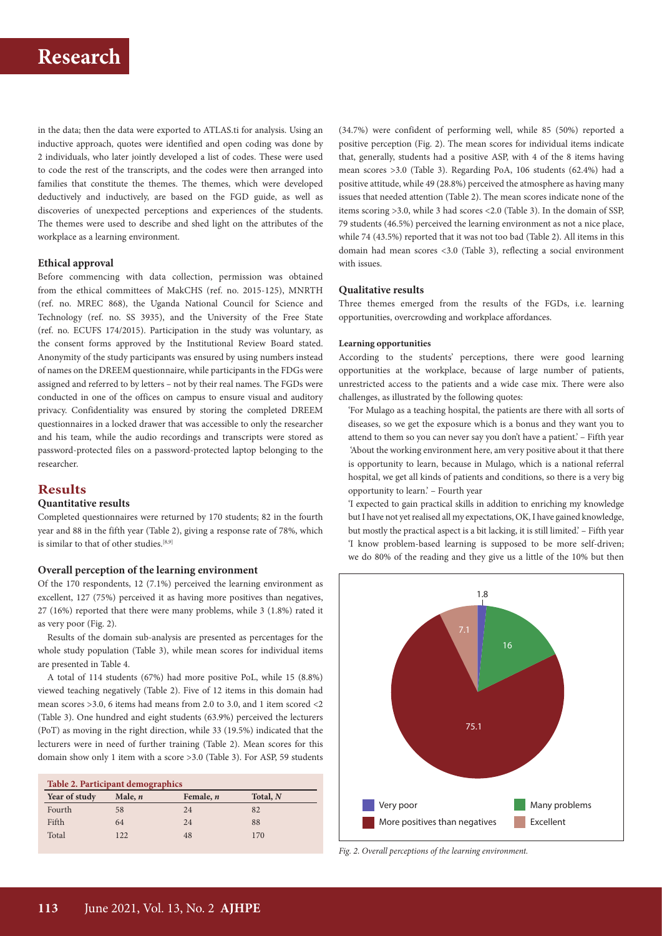# **Research**

in the data; then the data were exported to [ATLAS.ti](http://ATLAS.ti) for analysis. Using an inductive approach, quotes were identified and open coding was done by 2 individuals, who later jointly developed a list of codes. These were used to code the rest of the transcripts, and the codes were then arranged into families that constitute the themes. The themes, which were developed deductively and inductively, are based on the FGD guide, as well as discoveries of unexpected perceptions and experiences of the students. The themes were used to describe and shed light on the attributes of the workplace as a learning environment.

### **Ethical approval**

Before commencing with data collection, permission was obtained from the ethical committees of MakCHS (ref. no. 2015-125), MNRTH (ref. no. MREC 868), the Uganda National Council for Science and Technology (ref. no. SS 3935), and the University of the Free State (ref. no. ECUFS 174/2015). Participation in the study was voluntary, as the consent forms approved by the Institutional Review Board stated. Anonymity of the study participants was ensured by using numbers instead of names on the DREEM questionnaire, while participants in the FDGs were assigned and referred to by letters – not by their real names. The FGDs were conducted in one of the offices on campus to ensure visual and auditory privacy. Confidentiality was ensured by storing the completed DREEM questionnaires in a locked drawer that was accessible to only the researcher and his team, while the audio recordings and transcripts were stored as password-protected files on a password-protected laptop belonging to the researcher.

# **Results**

## **Quantitative results**

Completed questionnaires were returned by 170 students; 82 in the fourth year and 88 in the fifth year (Table 2), giving a response rate of 78%, which is similar to that of other studies.[8,9]

## **Overall perception of the learning environment**

Of the 170 respondents, 12 (7.1%) perceived the learning environment as excellent, 127 (75%) perceived it as having more positives than negatives, 27 (16%) reported that there were many problems, while 3 (1.8%) rated it as very poor (Fig. 2).

Results of the domain sub-analysis are presented as percentages for the whole study population (Table 3), while mean scores for individual items are presented in Table 4.

A total of 114 students (67%) had more positive PoL, while 15 (8.8%) viewed teaching negatively (Table 2). Five of 12 items in this domain had mean scores >3.0, 6 items had means from 2.0 to 3.0, and 1 item scored <2 (Table 3). One hundred and eight students (63.9%) perceived the lecturers (PoT) as moving in the right direction, while 33 (19.5%) indicated that the lecturers were in need of further training (Table 2). Mean scores for this domain show only 1 item with a score >3.0 (Table 3). For ASP, 59 students

| Table 2. Participant demographics |           |           |            |  |  |  |
|-----------------------------------|-----------|-----------|------------|--|--|--|
| Year of study                     | Male, $n$ | Female, n | Total, $N$ |  |  |  |
| Fourth                            | 58        | 24        | 82         |  |  |  |
| Fifth                             | 64        | 24        | 88         |  |  |  |
| Total                             | 122       | 48        | 170        |  |  |  |

(34.7%) were confident of performing well, while 85 (50%) reported a positive perception (Fig. 2). The mean scores for individual items indicate that, generally, students had a positive ASP, with 4 of the 8 items having mean scores >3.0 (Table 3). Regarding PoA, 106 students (62.4%) had a positive attitude, while 49 (28.8%) perceived the atmosphere as having many issues that needed attention (Table 2). The mean scores indicate none of the items scoring >3.0, while 3 had scores <2.0 (Table 3). In the domain of SSP, 79 students (46.5%) perceived the learning environment as not a nice place, while 74 (43.5%) reported that it was not too bad (Table 2). All items in this domain had mean scores <3.0 (Table 3), reflecting a social environment with issues.

#### **Qualitative results**

Three themes emerged from the results of the FGDs, i.e. learning opportunities, overcrowding and workplace affordances.

#### **Learning opportunities**

According to the students' perceptions, there were good learning opportunities at the workplace, because of large number of patients, unrestricted access to the patients and a wide case mix. There were also challenges, as illustrated by the following quotes:

'For Mulago as a teaching hospital, the patients are there with all sorts of diseases, so we get the exposure which is a bonus and they want you to attend to them so you can never say you don't have a patient.' – Fifth year 'About the working environment here, am very positive about it that there is opportunity to learn, because in Mulago, which is a national referral hospital, we get all kinds of patients and conditions, so there is a very big opportunity to learn.' – Fourth year

'I expected to gain practical skills in addition to enriching my knowledge but I have not yet realised all my expectations, OK, I have gained knowledge, but mostly the practical aspect is a bit lacking, it is still limited.' – Fifth year 'I know problem-based learning is supposed to be more self-driven; we do 80% of the reading and they give us a little of the 10% but then



*Fig. 2. Overall perceptions of the learning environment.*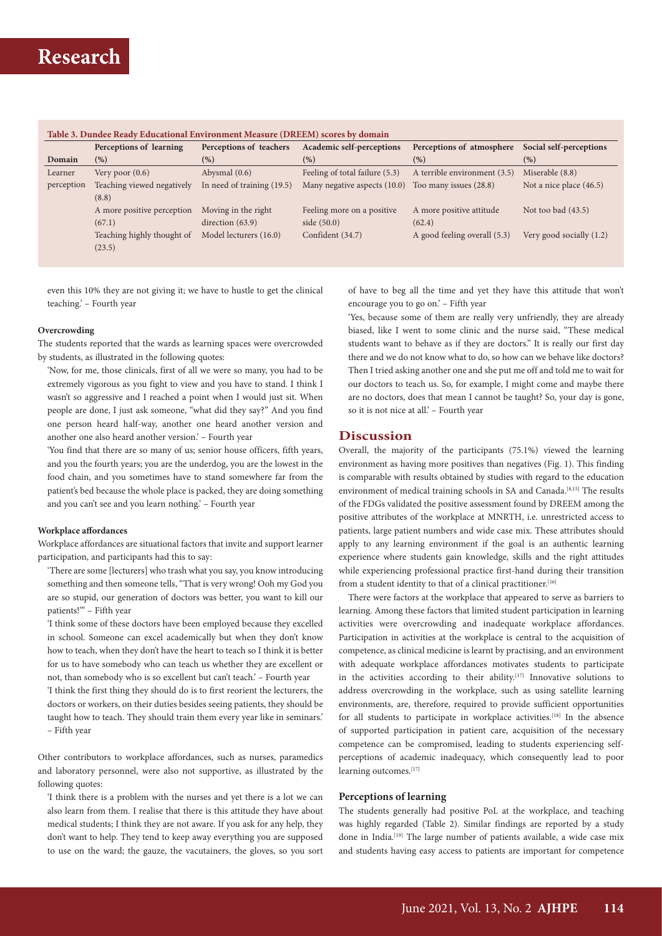| Perceptions of learning<br>(% )<br>Very poor $(0.6)$ | Perceptions of teachers<br>(%)<br>Abysmal $(0.6)$ | Academic self-perceptions<br>(%) | Perceptions of atmosphere<br>(%) | Social self-perceptions<br>(%) |
|------------------------------------------------------|---------------------------------------------------|----------------------------------|----------------------------------|--------------------------------|
|                                                      |                                                   |                                  |                                  |                                |
|                                                      |                                                   |                                  |                                  |                                |
|                                                      |                                                   | Feeling of total failure (5.3)   | A terrible environment (3.5)     | Miserable (8.8)                |
| Teaching viewed negatively                           | In need of training (19.5)                        | Many negative aspects (10.0)     | Too many issues (28.8)           | Not a nice place (46.5)        |
| (8.8)                                                |                                                   |                                  |                                  |                                |
| A more positive perception                           | Moving in the right                               | Feeling more on a positive       | A more positive attitude         | Not too bad $(43.5)$           |
| (67.1)                                               | direction $(63.9)$                                | side $(50.0)$                    | (62.4)                           |                                |
| Teaching highly thought of                           | Model lecturers (16.0)                            | Confident (34.7)                 | A good feeling overall (5.3)     | Very good socially $(1.2)$     |
| (23.5)                                               |                                                   |                                  |                                  |                                |
|                                                      |                                                   |                                  |                                  |                                |

even this 10% they are not giving it; we have to hustle to get the clinical teaching.' – Fourth year

#### **Overcrowding**

The students reported that the wards as learning spaces were overcrowded by students, as illustrated in the following quotes:

'Now, for me, those clinicals, first of all we were so many, you had to be extremely vigorous as you fight to view and you have to stand. I think I wasn't so aggressive and I reached a point when I would just sit. When people are done, I just ask someone, "what did they say?" And you find one person heard half-way, another one heard another version and another one also heard another version.' – Fourth year

'You find that there are so many of us; senior house officers, fifth years, and you the fourth years; you are the underdog, you are the lowest in the food chain, and you sometimes have to stand somewhere far from the patient's bed because the whole place is packed, they are doing something and you can't see and you learn nothing.' – Fourth year

#### **Workplace affordances**

Workplace affordances are situational factors that invite and support learner participation, and participants had this to say:

'There are some [lecturers] who trash what you say, you know introducing something and then someone tells, "That is very wrong! Ooh my God you are so stupid, our generation of doctors was better, you want to kill our patients!" - Fifth year

'I think some of these doctors have been employed because they excelled in school. Someone can excel academically but when they don't know how to teach, when they don't have the heart to teach so I think it is better for us to have somebody who can teach us whether they are excellent or not, than somebody who is so excellent but can't teach.' – Fourth year

'I think the first thing they should do is to first reorient the lecturers, the doctors or workers, on their duties besides seeing patients, they should be taught how to teach. They should train them every year like in seminars.' – Fifth year

Other contributors to workplace affordances, such as nurses, paramedics and laboratory personnel, were also not supportive, as illustrated by the following quotes:

'I think there is a problem with the nurses and yet there is a lot we can also learn from them. I realise that there is this attitude they have about medical students; I think they are not aware. If you ask for any help, they don't want to help. They tend to keep away everything you are supposed to use on the ward; the gauze, the vacutainers, the gloves, so you sort of have to beg all the time and yet they have this attitude that won't encourage you to go on.' – Fifth year

'Yes, because some of them are really very unfriendly, they are already biased, like I went to some clinic and the nurse said, "These medical students want to behave as if they are doctors." It is really our first day there and we do not know what to do, so how can we behave like doctors? Then I tried asking another one and she put me off and told me to wait for our doctors to teach us. So, for example, I might come and maybe there are no doctors, does that mean I cannot be taught? So, your day is gone, so it is not nice at all.' – Fourth year

### **Discussion**

Overall, the majority of the participants (75.1%) viewed the learning environment as having more positives than negatives (Fig. 1). This finding is comparable with results obtained by studies with regard to the education environment of medical training schools in SA and Canada.<sup>[8,15]</sup> The results of the FDGs validated the positive assessment found by DREEM among the positive attributes of the workplace at MNRTH, i.e. unrestricted access to patients, large patient numbers and wide case mix. These attributes should apply to any learning environment if the goal is an authentic learning experience where students gain knowledge, skills and the right attitudes while experiencing professional practice first-hand during their transition from a student identity to that of a clinical practitioner.<sup>[16]</sup>

There were factors at the workplace that appeared to serve as barriers to learning. Among these factors that limited student participation in learning activities were overcrowding and inadequate workplace affordances. Participation in activities at the workplace is central to the acquisition of competence, as clinical medicine is learnt by practising, and an environment with adequate workplace affordances motivates students to participate in the activities according to their ability.<sup>[17]</sup> Innovative solutions to address overcrowding in the workplace, such as using satellite learning environments, are, therefore, required to provide sufficient opportunities for all students to participate in workplace activities.<sup>[18]</sup> In the absence of supported participation in patient care, acquisition of the necessary competence can be compromised, leading to students experiencing selfperceptions of academic inadequacy, which consequently lead to poor learning outcomes.<sup>[17]</sup>

#### **Perceptions of learning**

The students generally had positive PoL at the workplace, and teaching was highly regarded (Table 2). Similar findings are reported by a study done in India.<sup>[19]</sup> The large number of patients available, a wide case mix and students having easy access to patients are important for competence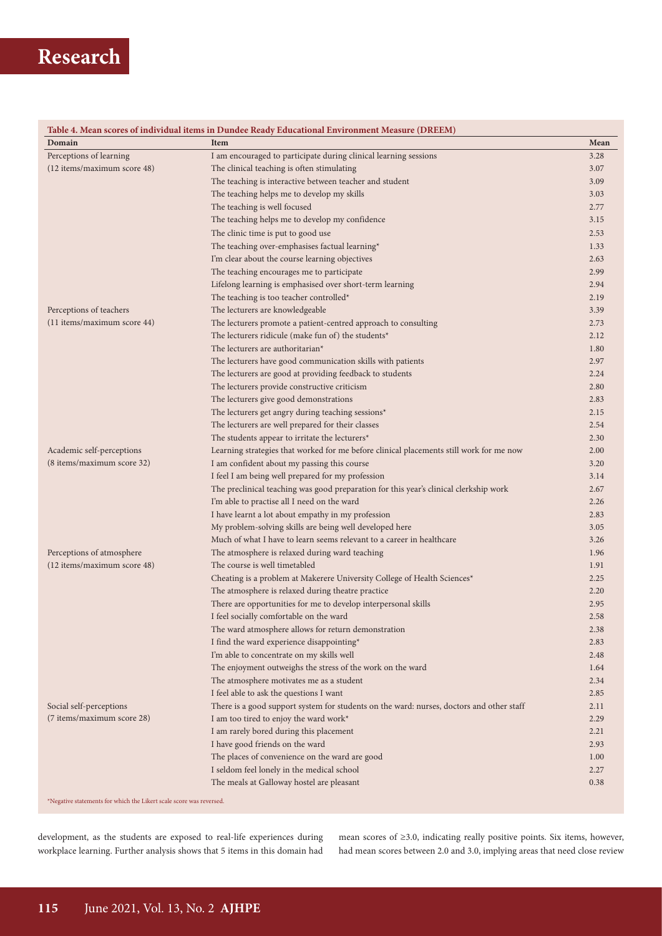| Domain                      | Table 4. Mean scores of individual items in Dundee Ready Educational Environment Measure (DREEM)<br><b>Item</b> | Mean         |
|-----------------------------|-----------------------------------------------------------------------------------------------------------------|--------------|
| Perceptions of learning     | I am encouraged to participate during clinical learning sessions                                                | 3.28         |
| (12 items/maximum score 48) | The clinical teaching is often stimulating                                                                      | 3.07         |
|                             | The teaching is interactive between teacher and student                                                         | 3.09         |
|                             | The teaching helps me to develop my skills                                                                      | 3.03         |
|                             | The teaching is well focused                                                                                    | 2.77         |
|                             | The teaching helps me to develop my confidence                                                                  | 3.15         |
|                             | The clinic time is put to good use                                                                              | 2.53         |
|                             | The teaching over-emphasises factual learning*                                                                  | 1.33         |
|                             | I'm clear about the course learning objectives                                                                  | 2.63         |
|                             | The teaching encourages me to participate                                                                       | 2.99         |
|                             | Lifelong learning is emphasised over short-term learning                                                        | 2.94         |
|                             | The teaching is too teacher controlled*                                                                         | 2.19         |
| Perceptions of teachers     | The lecturers are knowledgeable                                                                                 | 3.39         |
| (11 items/maximum score 44) | The lecturers promote a patient-centred approach to consulting                                                  | 2.73         |
|                             | The lecturers ridicule (make fun of) the students*                                                              | 2.12         |
|                             | The lecturers are authoritarian*                                                                                | 1.80         |
|                             | The lecturers have good communication skills with patients                                                      | 2.97         |
|                             | The lecturers are good at providing feedback to students                                                        | 2.24         |
|                             | The lecturers provide constructive criticism                                                                    | 2.80         |
|                             | The lecturers give good demonstrations                                                                          | 2.83         |
|                             | The lecturers get angry during teaching sessions*                                                               | 2.15         |
|                             | The lecturers are well prepared for their classes                                                               | 2.54         |
|                             | The students appear to irritate the lecturers*                                                                  | 2.30         |
| Academic self-perceptions   | Learning strategies that worked for me before clinical placements still work for me now                         | 2.00         |
| (8 items/maximum score 32)  | I am confident about my passing this course                                                                     | 3.20         |
| Perceptions of atmosphere   | I feel I am being well prepared for my profession                                                               | 3.14         |
|                             | The preclinical teaching was good preparation for this year's clinical clerkship work                           | 2.67         |
|                             | I'm able to practise all I need on the ward                                                                     | 2.26         |
|                             | I have learnt a lot about empathy in my profession                                                              | 2.83         |
|                             | My problem-solving skills are being well developed here                                                         | 3.05         |
|                             | Much of what I have to learn seems relevant to a career in healthcare                                           | 3.26         |
|                             | The atmosphere is relaxed during ward teaching                                                                  | 1.96         |
| (12 items/maximum score 48) | The course is well timetabled                                                                                   | 1.91         |
|                             |                                                                                                                 |              |
|                             | Cheating is a problem at Makerere University College of Health Sciences*                                        | 2.25<br>2.20 |
|                             | The atmosphere is relaxed during theatre practice                                                               | 2.95         |
|                             | There are opportunities for me to develop interpersonal skills                                                  |              |
|                             | I feel socially comfortable on the ward                                                                         | 2.58         |
|                             | The ward atmosphere allows for return demonstration                                                             | 2.38         |
|                             | I find the ward experience disappointing*                                                                       | 2.83         |
|                             | I'm able to concentrate on my skills well                                                                       | 2.48         |
|                             | The enjoyment outweighs the stress of the work on the ward                                                      | 1.64         |
|                             | The atmosphere motivates me as a student                                                                        | 2.34         |
|                             | I feel able to ask the questions I want                                                                         | 2.85         |
| Social self-perceptions     | There is a good support system for students on the ward: nurses, doctors and other staff                        | 2.11         |
| (7 items/maximum score 28)  | I am too tired to enjoy the ward work*                                                                          | 2.29         |
|                             | I am rarely bored during this placement                                                                         | 2.21         |
|                             | I have good friends on the ward                                                                                 | 2.93         |
|                             | The places of convenience on the ward are good                                                                  | 1.00         |
|                             | I seldom feel lonely in the medical school                                                                      | 2.27         |
|                             | The meals at Galloway hostel are pleasant                                                                       | 0.38         |

\*Negative statements for which the Likert scale score was reversed.

development, as the students are exposed to real-life experiences during workplace learning. Further analysis shows that 5 items in this domain had

mean scores of ≥3.0, indicating really positive points. Six items, however, had mean scores between 2.0 and 3.0, implying areas that need close review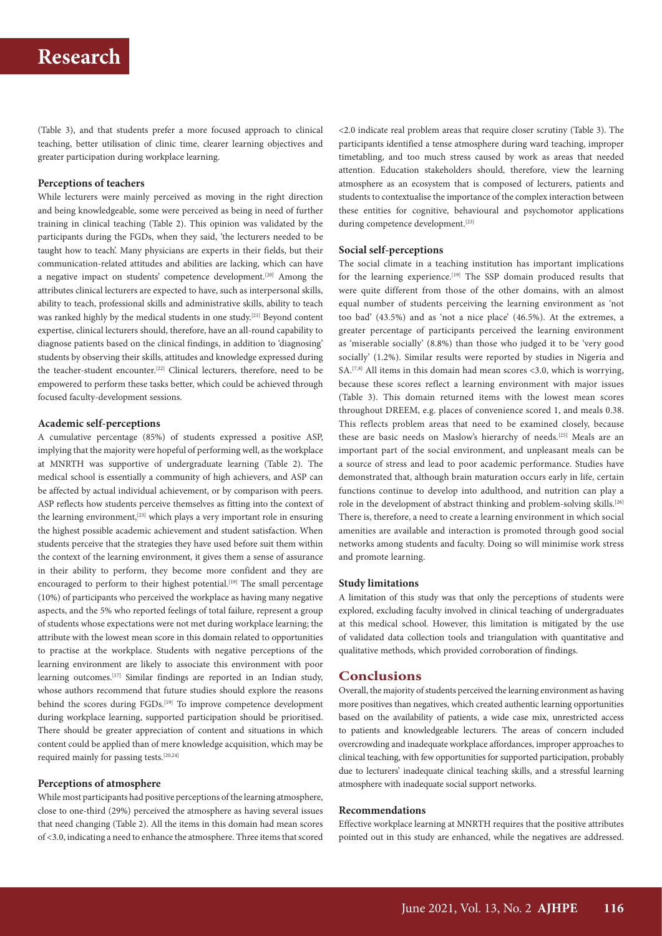(Table 3), and that students prefer a more focused approach to clinical teaching, better utilisation of clinic time, clearer learning objectives and greater participation during workplace learning.

#### **Perceptions of teachers**

While lecturers were mainly perceived as moving in the right direction and being knowledgeable, some were perceived as being in need of further training in clinical teaching (Table 2). This opinion was validated by the participants during the FGDs, when they said, 'the lecturers needed to be taught how to teach'. Many physicians are experts in their fields, but their communication-related attitudes and abilities are lacking, which can have a negative impact on students' competence development.[20] Among the attributes clinical lecturers are expected to have, such as interpersonal skills, ability to teach, professional skills and administrative skills, ability to teach was ranked highly by the medical students in one study.[21] Beyond content expertise, clinical lecturers should, therefore, have an all-round capability to diagnose patients based on the clinical findings, in addition to 'diagnosing' students by observing their skills, attitudes and knowledge expressed during the teacher-student encounter.<sup>[22]</sup> Clinical lecturers, therefore, need to be empowered to perform these tasks better, which could be achieved through focused faculty-development sessions.

#### **Academic self-perceptions**

A cumulative percentage (85%) of students expressed a positive ASP, implying that the majority were hopeful of performing well, as the workplace at MNRTH was supportive of undergraduate learning (Table 2). The medical school is essentially a community of high achievers, and ASP can be affected by actual individual achievement, or by comparison with peers. ASP reflects how students perceive themselves as fitting into the context of the learning environment,<sup>[23]</sup> which plays a very important role in ensuring the highest possible academic achievement and student satisfaction. When students perceive that the strategies they have used before suit them within the context of the learning environment, it gives them a sense of assurance in their ability to perform, they become more confident and they are encouraged to perform to their highest potential.<sup>[19]</sup> The small percentage (10%) of participants who perceived the workplace as having many negative aspects, and the 5% who reported feelings of total failure, represent a group of students whose expectations were not met during workplace learning; the attribute with the lowest mean score in this domain related to opportunities to practise at the workplace. Students with negative perceptions of the learning environment are likely to associate this environment with poor learning outcomes.[17] Similar findings are reported in an Indian study, whose authors recommend that future studies should explore the reasons behind the scores during FGDs.<sup>[19]</sup> To improve competence development during workplace learning, supported participation should be prioritised. There should be greater appreciation of content and situations in which content could be applied than of mere knowledge acquisition, which may be required mainly for passing tests.[20,24]

## **Perceptions of atmosphere**

While most participants had positive perceptions of the learning atmosphere, close to one-third (29%) perceived the atmosphere as having several issues that need changing (Table 2). All the items in this domain had mean scores of <3.0, indicating a need to enhance the atmosphere. Three items that scored

<2.0 indicate real problem areas that require closer scrutiny (Table 3). The participants identified a tense atmosphere during ward teaching, improper timetabling, and too much stress caused by work as areas that needed attention. Education stakeholders should, therefore, view the learning atmosphere as an ecosystem that is composed of lecturers, patients and students to contextualise the importance of the complex interaction between these entities for cognitive, behavioural and psychomotor applications during competence development.<sup>[23]</sup>

### **Social self-perceptions**

The social climate in a teaching institution has important implications for the learning experience.<sup>[19]</sup> The SSP domain produced results that were quite different from those of the other domains, with an almost equal number of students perceiving the learning environment as 'not too bad' (43.5%) and as 'not a nice place' (46.5%). At the extremes, a greater percentage of participants perceived the learning environment as 'miserable socially' (8.8%) than those who judged it to be 'very good socially' (1.2%). Similar results were reported by studies in Nigeria and SA.<sup>[7,8]</sup> All items in this domain had mean scores <3.0, which is worrying, because these scores reflect a learning environment with major issues (Table 3). This domain returned items with the lowest mean scores throughout DREEM, e.g. places of convenience scored 1, and meals 0.38. This reflects problem areas that need to be examined closely, because these are basic needs on Maslow's hierarchy of needs.[25] Meals are an important part of the social environment, and unpleasant meals can be a source of stress and lead to poor academic performance. Studies have demonstrated that, although brain maturation occurs early in life, certain functions continue to develop into adulthood, and nutrition can play a role in the development of abstract thinking and problem-solving skills.<sup>[26]</sup> There is, therefore, a need to create a learning environment in which social amenities are available and interaction is promoted through good social networks among students and faculty. Doing so will minimise work stress and promote learning.

#### **Study limitations**

A limitation of this study was that only the perceptions of students were explored, excluding faculty involved in clinical teaching of undergraduates at this medical school. However, this limitation is mitigated by the use of validated data collection tools and triangulation with quantitative and qualitative methods, which provided corroboration of findings.

### **Conclusions**

Overall, the majority of students perceived the learning environment as having more positives than negatives, which created authentic learning opportunities based on the availability of patients, a wide case mix, unrestricted access to patients and knowledgeable lecturers. The areas of concern included overcrowding and inadequate workplace affordances, improper approaches to clinical teaching, with few opportunities for supported participation, probably due to lecturers' inadequate clinical teaching skills, and a stressful learning atmosphere with inadequate social support networks.

#### **Recommendations**

Effective workplace learning at MNRTH requires that the positive attributes pointed out in this study are enhanced, while the negatives are addressed.